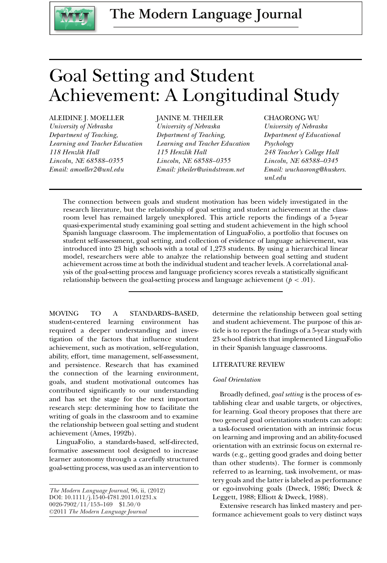

# Goal Setting and Student Achievement: A Longitudinal Study

# ALEIDINE J. MOELLER

*University of Nebraska Department of Teaching, Learning and Teacher Education 118 Henzlik Hall Lincoln, NE 68588–0355 Email: amoeller2@unl.edu*

# JANINE M. THEILER

*University of Nebraska Department of Teaching, Learning and Teacher Education 115 Henzlik Hall Lincoln, NE 68588–0355 Email: jtheiler@windstream.net*

# CHAORONG WU

*University of Nebraska Department of Educational Psychology 248 Teacher's College Hall Lincoln, NE 68588–0345 Email: wuchaorong@huskers. unl.edu*

The connection between goals and student motivation has been widely investigated in the research literature, but the relationship of goal setting and student achievement at the classroom level has remained largely unexplored. This article reports the findings of a 5-year quasi-experimental study examining goal setting and student achievement in the high school Spanish language classroom. The implementation of LinguaFolio, a portfolio that focuses on student self-assessment, goal setting, and collection of evidence of language achievement, was introduced into 23 high schools with a total of 1,273 students. By using a hierarchical linear model, researchers were able to analyze the relationship between goal setting and student achievement across time at both the individual student and teacher levels. A correlational analysis of the goal-setting process and language proficiency scores reveals a statistically significant relationship between the goal-setting process and language achievement  $(p < .01)$ .

# MOVING TO A STANDARDS–BASED,

student-centered learning environment has required a deeper understanding and investigation of the factors that influence student achievement, such as motivation, self-regulation, ability, effort, time management, self-assessment, and persistence. Research that has examined the connection of the learning environment, goals, and student motivational outcomes has contributed significantly to our understanding and has set the stage for the next important research step: determining how to facilitate the writing of goals in the classroom and to examine the relationship between goal setting and student achievement (Ames, 1992b).

LinguaFolio, a standards-based, self-directed, formative assessment tool designed to increase learner autonomy through a carefully structured goal-setting process, was used as an intervention to

determine the relationship between goal setting and student achievement. The purpose of this article is to report the findings of a 5-year study with 23 school districts that implemented LinguaFolio in their Spanish language classrooms.

## LITERATURE REVIEW

## *Goal Orientation*

Broadly defined, *goal setting* is the process of establishing clear and usable targets, or objectives, for learning. Goal theory proposes that there are two general goal orientations students can adopt: a task-focused orientation with an intrinsic focus on learning and improving and an ability-focused orientation with an extrinsic focus on external rewards (e.g., getting good grades and doing better than other students). The former is commonly referred to as learning, task involvement, or mastery goals and the latter is labeled as performance or ego-involving goals (Dweck, 1986; Dweck & Leggett, 1988; Elliott & Dweck, 1988).

Extensive research has linked mastery and performance achievement goals to very distinct ways

*The Modern Language Journal*, 96, ii, (2012) DOI: 10.1111/j.1540-4781.2011.01231.x 0026-7902/11/153–169 \$1.50/0 -<sup>C</sup> 2011 *The Modern Language Journal*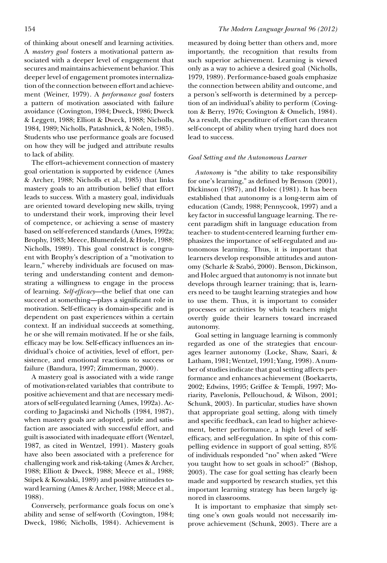of thinking about oneself and learning activities. A *mastery goal* fosters a motivational pattern associated with a deeper level of engagement that secures and maintains achievement behavior. This deeper level of engagement promotes internalization of the connection between effort and achievement (Weiner, 1979). A *performance goal* fosters a pattern of motivation associated with failure avoidance (Covington, 1984; Dweck, 1986; Dweck & Leggett, 1988; Elliott & Dweck, 1988; Nicholls, 1984, 1989; Nicholls, Patashnick, & Nolen, 1985). Students who use performance goals are focused on how they will be judged and attribute results to lack of ability.

The effort–achievement connection of mastery goal orientation is supported by evidence (Ames & Archer, 1988; Nicholls et al., 1985) that links mastery goals to an attribution belief that effort leads to success. With a mastery goal, individuals are oriented toward developing new skills, trying to understand their work, improving their level of competence, or achieving a sense of mastery based on self-referenced standards (Ames, 1992a; Brophy, 1983; Meece, Blumenfeld, & Hoyle, 1988; Nicholls, 1989). This goal construct is congruent with Brophy's description of a "motivation to learn," whereby individuals are focused on mastering and understanding content and demonstrating a willingness to engage in the process of learning. *Self-efficacy*—the belief that one can succeed at something—plays a significant role in motivation. Self-efficacy is domain-specific and is dependent on past experiences within a certain context. If an individual succeeds at something, he or she will remain motivated. If he or she fails, efficacy may be low. Self-efficacy influences an individual's choice of activities, level of effort, persistence, and emotional reactions to success or failure (Bandura, 1997; Zimmerman, 2000).

A mastery goal is associated with a wide range of motivation-related variables that contribute to positive achievement and that are necessary mediators of self-regulated learning (Ames, 1992a). According to Jagacinski and Nicholls (1984, 1987), when mastery goals are adopted, pride and satisfaction are associated with successful effort, and guilt is associated with inadequate effort (Wentzel, 1987, as cited in Wentzel, 1991). Mastery goals have also been associated with a preference for challenging work and risk-taking (Ames & Archer, 1988; Elliott & Dweck, 1988; Meece et al., 1988; Stipek & Kowalski, 1989) and positive attitudes toward learning (Ames & Archer, 1988; Meece et al., 1988).

Conversely, performance goals focus on one's ability and sense of self-worth (Covington, 1984; Dweck, 1986; Nicholls, 1984). Achievement is measured by doing better than others and, more importantly, the recognition that results from such superior achievement. Learning is viewed only as a way to achieve a desired goal (Nicholls, 1979, 1989). Performance-based goals emphasize the connection between ability and outcome, and a person's self-worth is determined by a perception of an individual's ability to perform (Covington & Berry, 1976; Covington & Omelich, 1984). As a result, the expenditure of effort can threaten self-concept of ability when trying hard does not lead to success.

#### *Goal Setting and the Autonomous Learner*

*Autonomy* is "the ability to take responsibility for one's learning," as defined by Benson (2001), Dickinson (1987), and Holec (1981). It has been established that autonomy is a long-term aim of education (Candy, 1988; Pennycook, 1997) and a key factor in successful language learning. The recent paradigm shift in language education from teacher- to student-centered learning further emphasizes the importance of self-regulated and autonomous learning. Thus, it is important that learners develop responsible attitudes and autonomy (Scharle & Szabó, 2000). Benson, Dickinson, and Holec argued that autonomy is not innate but develops through learner training; that is, learners need to be taught learning strategies and how to use them. Thus, it is important to consider processes or activities by which teachers might overtly guide their learners toward increased autonomy.

Goal setting in language learning is commonly regarded as one of the strategies that encourages learner autonomy (Locke, Shaw, Saari, & Latham, 1981; Wentzel, 1991; Yang, 1998). A number of studies indicate that goal setting affects performance and enhances achievement (Boekaerts, 2002; Edwins, 1995; Griffee & Templi, 1997; Moriarity, Pavelonis, Pellouchoud, & Wilson, 2001; Schunk, 2003). In particular, studies have shown that appropriate goal setting, along with timely and specific feedback, can lead to higher achievement, better performance, a high level of selfefficacy, and self-regulation. In spite of this compelling evidence in support of goal setting, 85% of individuals responded "no" when asked "Were you taught how to set goals in school?" (Bishop, 2003). The case for goal setting has clearly been made and supported by research studies, yet this important learning strategy has been largely ignored in classrooms.

It is important to emphasize that simply setting one's own goals would not necessarily improve achievement (Schunk, 2003). There are a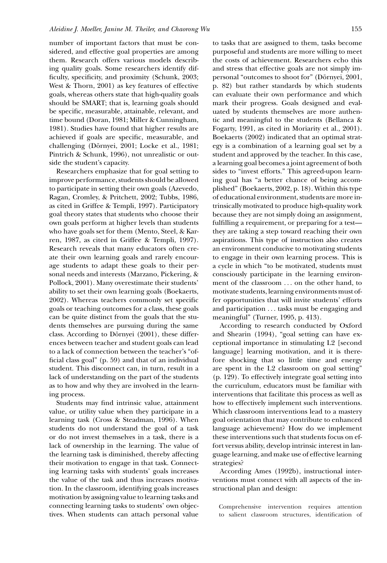number of important factors that must be considered, and effective goal properties are among them. Research offers various models describing quality goals. Some researchers identify difficulty, specificity, and proximity (Schunk, 2003; West & Thorn, 2001) as key features of effective goals, whereas others state that high-quality goals should be SMART; that is, learning goals should be specific, measurable, attainable, relevant, and time bound (Doran, 1981; Miller & Cunningham, 1981). Studies have found that higher results are achieved if goals are specific, measurable, and challenging (Dörnyei, 2001; Locke et al., 1981; Pintrich & Schunk, 1996), not unrealistic or outside the student's capacity.

Researchers emphasize that for goal setting to improve performance, students should be allowed to participate in setting their own goals (Azevedo, Ragan, Cromley, & Pritchett, 2002; Tubbs, 1986, as cited in Griffee & Templi, 1997). Participatory goal theory states that students who choose their own goals perform at higher levels than students who have goals set for them (Mento, Steel, & Karren, 1987, as cited in Griffee & Templi, 1997). Research reveals that many educators often create their own learning goals and rarely encourage students to adapt these goals to their personal needs and interests (Marzano, Pickering, & Pollock, 2001). Many overestimate their students' ability to set their own learning goals (Boekaerts, 2002). Whereas teachers commonly set specific goals or teaching outcomes for a class, these goals can be quite distinct from the goals that the students themselves are pursuing during the same class. According to Dörnyei (2001), these differences between teacher and student goals can lead to a lack of connection between the teacher's "official class goal" (p. 59) and that of an individual student. This disconnect can, in turn, result in a lack of understanding on the part of the students as to how and why they are involved in the learning process.

Students may find intrinsic value, attainment value, or utility value when they participate in a learning task (Cross & Steadman, 1996). When students do not understand the goal of a task or do not invest themselves in a task, there is a lack of ownership in the learning. The value of the learning task is diminished, thereby affecting their motivation to engage in that task. Connecting learning tasks with students' goals increases the value of the task and thus increases motivation. In the classroom, identifying goals increases motivation by assigning value to learning tasks and connecting learning tasks to students' own objectives. When students can attach personal value

to tasks that are assigned to them, tasks become purposeful and students are more willing to meet the costs of achievement. Researchers echo this and stress that effective goals are not simply impersonal "outcomes to shoot for" (Dörnyei, 2001, p. 82) but rather standards by which students can evaluate their own performance and which mark their progress. Goals designed and evaluated by students themselves are more authentic and meaningful to the students (Bellanca & Fogarty, 1991, as cited in Moriarity et al., 2001). Boekaerts (2002) indicated that an optimal strategy is a combination of a learning goal set by a student and approved by the teacher. In this case, a learning goal becomes a joint agreement of both sides to "invest efforts." This agreed-upon learning goal has "a better chance of being accomplished" (Boekaerts, 2002, p. 18). Within this type of educational environment, students are more intrinsically motivated to produce high-quality work because they are not simply doing an assignment, fulfilling a requirement, or preparing for a test they are taking a step toward reaching their own aspirations. This type of instruction also creates an environment conducive to motivating students to engage in their own learning process. This is a cycle in which "to be motivated, students must consciously participate in the learning environment of the classroom ... on the other hand, to motivate students, learning environments must offer opportunities that will invite students' efforts and participation ... tasks must be engaging and meaningful" (Turner, 1995, p. 413).

According to research conducted by Oxford and Shearin (1994), "goal setting can have exceptional importance in stimulating L2 [second language] learning motivation, and it is therefore shocking that so little time and energy are spent in the L2 classroom on goal setting" (p. 129). To effectively integrate goal setting into the curriculum, educators must be familiar with interventions that facilitate this process as well as how to effectively implement such interventions. Which classroom interventions lead to a mastery goal orientation that may contribute to enhanced language achievement? How do we implement these interventions such that students focus on effort versus ability, develop intrinsic interest in language learning, and make use of effective learning strategies?

According Ames (1992b), instructional interventions must connect with all aspects of the instructional plan and design:

Comprehensive intervention requires attention to salient classroom structures, identification of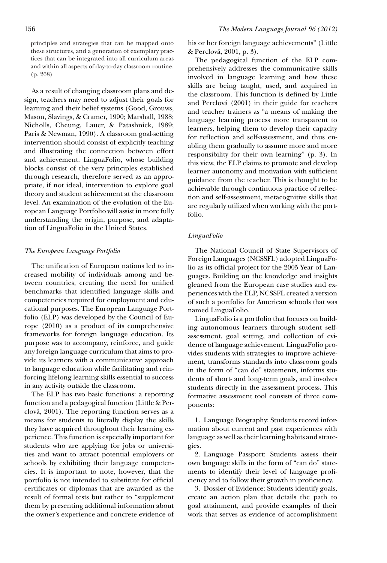principles and strategies that can be mapped onto these structures, and a generation of exemplary practices that can be integrated into all curriculum areas and within all aspects of day-to-day classroom routine. (p. 268)

As a result of changing classroom plans and design, teachers may need to adjust their goals for learning and their belief systems (Good, Grouws, Mason, Slavings, & Cramer, 1990; Marshall, 1988; Nicholls, Cheung, Lauer, & Patashnick, 1989; Paris & Newman, 1990). A classroom goal-setting intervention should consist of explicitly teaching and illustrating the connection between effort and achievement. LinguaFolio, whose building blocks consist of the very principles established through research, therefore served as an appropriate, if not ideal, intervention to explore goal theory and student achievement at the classroom level. An examination of the evolution of the European Language Portfolio will assist in more fully understanding the origin, purpose, and adaptation of LinguaFolio in the United States.

## *The European Language Portfolio*

The unification of European nations led to increased mobility of individuals among and between countries, creating the need for unified benchmarks that identified language skills and competencies required for employment and educational purposes. The European Language Portfolio (ELP) was developed by the Council of Europe (2010) as a product of its comprehensive frameworks for foreign language education. Its purpose was to accompany, reinforce, and guide any foreign language curriculum that aims to provide its learners with a communicative approach to language education while facilitating and reinforcing lifelong learning skills essential to success in any activity outside the classroom.

The ELP has two basic functions: a reporting function and a pedagogical function (Little & Perclova, 2001). The reporting function serves as a ´ means for students to literally display the skills they have acquired throughout their learning experience. This function is especially important for students who are applying for jobs or universities and want to attract potential employers or schools by exhibiting their language competencies. It is important to note, however, that the portfolio is not intended to substitute for official certificates or diplomas that are awarded as the result of formal tests but rather to "supplement them by presenting additional information about the owner's experience and concrete evidence of his or her foreign language achievements" (Little & Perclova, 2001, p. 3). ´

The pedagogical function of the ELP comprehensively addresses the communicative skills involved in language learning and how these skills are being taught, used, and acquired in the classroom. This function is defined by Little and Perclova (2001) in their guide for teachers ´ and teacher trainers as "a means of making the language learning process more transparent to learners, helping them to develop their capacity for reflection and self-assessment, and thus enabling them gradually to assume more and more responsibility for their own learning" (p. 3). In this view, the ELP claims to promote and develop learner autonomy and motivation with sufficient guidance from the teacher. This is thought to be achievable through continuous practice of reflection and self-assessment, metacognitive skills that are regularly utilized when working with the portfolio.

## *LinguaFolio*

The National Council of State Supervisors of Foreign Languages (NCSSFL) adopted LinguaFolio as its official project for the 2005 Year of Languages. Building on the knowledge and insights gleaned from the European case studies and experiences with the ELP, NCSSFL created a version of such a portfolio for American schools that was named LinguaFolio.

LinguaFolio is a portfolio that focuses on building autonomous learners through student selfassessment, goal setting, and collection of evidence of language achievement. LinguaFolio provides students with strategies to improve achievement, transforms standards into classroom goals in the form of "can do" statements, informs students of short- and long-term goals, and involves students directly in the assessment process. This formative assessment tool consists of three components:

1. Language Biography: Students record information about current and past experiences with language as well as their learning habits and strategies.

2. Language Passport: Students assess their own language skills in the form of "can do" statements to identify their level of language proficiency and to follow their growth in proficiency.

3. Dossier of Evidence: Students identify goals, create an action plan that details the path to goal attainment, and provide examples of their work that serves as evidence of accomplishment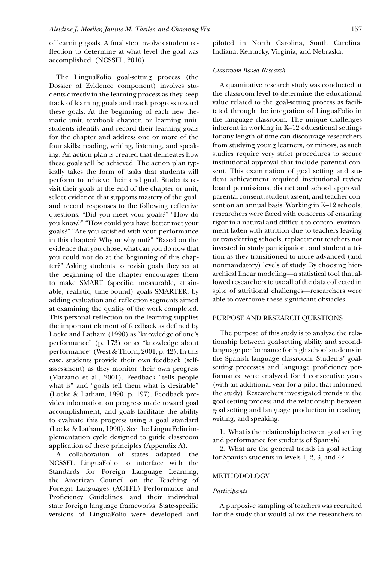of learning goals. A final step involves student reflection to determine at what level the goal was accomplished. (NCSSFL, 2010)

The LinguaFolio goal-setting process (the Dossier of Evidence component) involves students directly in the learning process as they keep track of learning goals and track progress toward these goals. At the beginning of each new thematic unit, textbook chapter, or learning unit, students identify and record their learning goals for the chapter and address one or more of the four skills: reading, writing, listening, and speaking. An action plan is created that delineates how these goals will be achieved. The action plan typically takes the form of tasks that students will perform to achieve their end goal. Students revisit their goals at the end of the chapter or unit, select evidence that supports mastery of the goal, and record responses to the following reflective questions: "Did you meet your goals?" "How do you know?" "How could you have better met your goals?" "Are you satisfied with your performance in this chapter? Why or why not?" "Based on the evidence that you chose, what can you do now that you could not do at the beginning of this chapter?" Asking students to revisit goals they set at the beginning of the chapter encourages them to make SMART (specific, measurable, attainable, realistic, time-bound) goals SMARTER, by adding evaluation and reflection segments aimed at examining the quality of the work completed. This personal reflection on the learning supplies the important element of feedback as defined by Locke and Latham (1990) as "knowledge of one's performance" (p. 173) or as "knowledge about performance" (West & Thorn, 2001, p. 42). In this case, students provide their own feedback (selfassessment) as they monitor their own progress (Marzano et al., 2001). Feedback "tells people what is" and "goals tell them what is desirable" (Locke & Latham, 1990, p. 197). Feedback provides information on progress made toward goal accomplishment, and goals facilitate the ability to evaluate this progress using a goal standard (Locke & Latham, 1990). See the LinguaFolio implementation cycle designed to guide classroom application of these principles (Appendix A).

A collaboration of states adapted the NCSSFL LinguaFolio to interface with the Standards for Foreign Language Learning, the American Council on the Teaching of Foreign Languages (ACTFL) Performance and Proficiency Guidelines, and their individual state foreign language frameworks. State-specific versions of LinguaFolio were developed and piloted in North Carolina, South Carolina, Indiana, Kentucky, Virginia, and Nebraska.

#### *Classroom-Based Research*

A quantitative research study was conducted at the classroom level to determine the educational value related to the goal-setting process as facilitated through the integration of LinguaFolio in the language classroom. The unique challenges inherent in working in K–12 educational settings for any length of time can discourage researchers from studying young learners, or minors, as such studies require very strict procedures to secure institutional approval that include parental consent. This examination of goal setting and student achievement required institutional review board permissions, district and school approval, parental consent, student assent, and teacher consent on an annual basis. Working in K–12 schools, researchers were faced with concerns of ensuring rigor in a natural and difficult-to-control environment laden with attrition due to teachers leaving or transferring schools, replacement teachers not invested in study participation, and student attrition as they transitioned to more advanced (and nonmandatory) levels of study. By choosing hierarchical linear modeling—a statistical tool that allowed researchers to use all of the data collected in spite of attritional challenges—researchers were able to overcome these significant obstacles.

#### PURPOSE AND RESEARCH QUESTIONS

The purpose of this study is to analyze the relationship between goal-setting ability and secondlanguage performance for high school students in the Spanish language classroom. Students' goalsetting processes and language proficiency performance were analyzed for 4 consecutive years (with an additional year for a pilot that informed the study). Researchers investigated trends in the goal-setting process and the relationship between goal setting and language production in reading, writing, and speaking.

1. What is the relationship between goal setting and performance for students of Spanish?

2. What are the general trends in goal setting for Spanish students in levels 1, 2, 3, and 4?

#### METHODOLOGY

#### *Participants*

A purposive sampling of teachers was recruited for the study that would allow the researchers to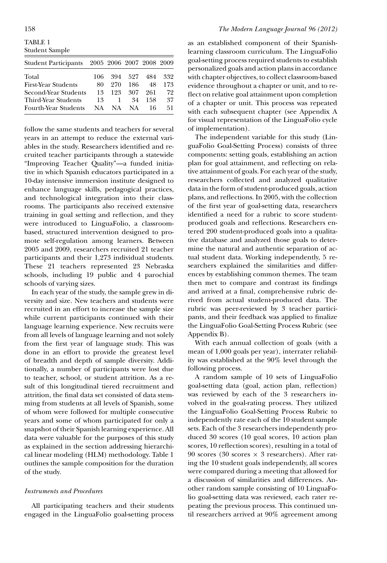TABLE 1 Student Sample

| Student Participants 2005 2006 2007 2008 2009 |     |     |      |     |     |
|-----------------------------------------------|-----|-----|------|-----|-----|
| Total                                         | 106 | 394 | 527  | 484 | 332 |
| <b>First-Year Students</b>                    | 80  | 970 | 186- | 48  | 173 |
| Second-Year Students                          | 13  | 193 | 307  | 961 | 79  |
| Third-Year Students                           | 13  | 1   | 34   | 158 | 37  |
| <b>Fourth-Year Students</b>                   | NA. | NA. | NA.  | 16  | 51. |

follow the same students and teachers for several years in an attempt to reduce the external variables in the study. Researchers identified and recruited teacher participants through a statewide "Improving Teacher Quality"—a funded initiative in which Spanish educators participated in a 10-day intensive immersion institute designed to enhance language skills, pedagogical practices, and technological integration into their classrooms. The participants also received extensive training in goal setting and reflection, and they were introduced to LinguaFolio, a classroombased, structured intervention designed to promote self-regulation among learners. Between 2005 and 2009, researchers recruited 21 teacher participants and their 1,273 individual students. These 21 teachers represented 23 Nebraska schools, including 19 public and 4 parochial schools of varying sizes.

In each year of the study, the sample grew in diversity and size. New teachers and students were recruited in an effort to increase the sample size while current participants continued with their language learning experience. New recruits were from all levels of language learning and not solely from the first year of language study. This was done in an effort to provide the greatest level of breadth and depth of sample diversity. Additionally, a number of participants were lost due to teacher, school, or student attrition. As a result of this longitudinal tiered recruitment and attrition, the final data set consisted of data stemming from students at all levels of Spanish, some of whom were followed for multiple consecutive years and some of whom participated for only a snapshot of their Spanish learning experience. All data were valuable for the purposes of this study as explained in the section addressing hierarchical linear modeling (HLM) methodology. Table 1 outlines the sample composition for the duration of the study.

## *Instruments and Procedures*

All participating teachers and their students engaged in the LinguaFolio goal-setting process as an established component of their Spanishlearning classroom curriculum. The LinguaFolio goal-setting process required students to establish personalized goals and action plans in accordance with chapter objectives, to collect classroom-based evidence throughout a chapter or unit, and to reflect on relative goal attainment upon completion of a chapter or unit. This process was repeated with each subsequent chapter (see Appendix A for visual representation of the LinguaFolio cycle of implementation).

The independent variable for this study (LinguaFolio Goal-Setting Process) consists of three components: setting goals, establishing an action plan for goal attainment, and reflecting on relative attainment of goals. For each year of the study, researchers collected and analyzed qualitative data in the form of student-produced goals, action plans, and reflections. In 2005, with the collection of the first year of goal-setting data, researchers identified a need for a rubric to score studentproduced goals and reflections. Researchers entered 200 student-produced goals into a qualitative database and analyzed those goals to determine the natural and authentic separation of actual student data. Working independently, 5 researchers explained the similarities and differences by establishing common themes. The team then met to compare and contrast its findings and arrived at a final, comprehensive rubric derived from actual student-produced data. The rubric was peer-reviewed by 3 teacher participants, and their feedback was applied to finalize the LinguaFolio Goal-Setting Process Rubric (see Appendix B).

With each annual collection of goals (with a mean of 1,000 goals per year), interrater reliability was established at the 90% level through the following process.

A random sample of 10 sets of LinguaFolio goal-setting data (goal, action plan, reflection) was reviewed by each of the 3 researchers involved in the goal-rating process. They utilized the LinguaFolio Goal-Setting Process Rubric to independently rate each of the 10 student sample sets. Each of the 3 researchers independently produced 30 scores (10 goal scores, 10 action plan scores, 10 reflection scores), resulting in a total of 90 scores (30 scores  $\times$  3 researchers). After rating the 10 student goals independently, all scores were compared during a meeting that allowed for a discussion of similarities and differences. Another random sample consisting of 10 LinguaFolio goal-setting data was reviewed, each rater repeating the previous process. This continued until researchers arrived at 90% agreement among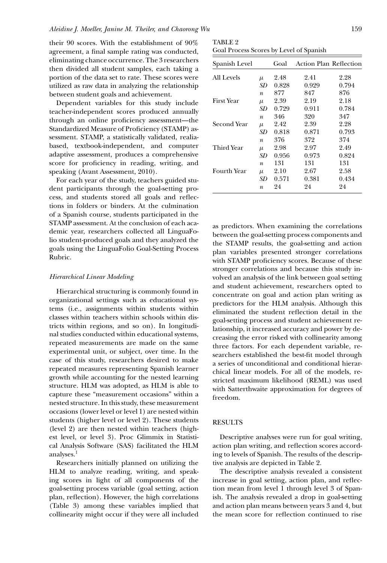their 90 scores. With the establishment of 90% agreement, a final sample rating was conducted, eliminating chance occurrence. The 3 researchers then divided all student samples, each taking a portion of the data set to rate. These scores were utilized as raw data in analyzing the relationship between student goals and achievement.

Dependent variables for this study include teacher-independent scores produced annually through an online proficiency assessment—the Standardized Measure of Proficiency (STAMP) assessment. STAMP, a statistically validated, realiabased, textbook-independent, and computer adaptive assessment, produces a comprehensive score for proficiency in reading, writing, and speaking (Avant Assessment, 2010).

For each year of the study, teachers guided student participants through the goal-setting process, and students stored all goals and reflections in folders or binders. At the culmination of a Spanish course, students participated in the STAMP assessment. At the conclusion of each academic year, researchers collected all LinguaFolio student-produced goals and they analyzed the goals using the LinguaFolio Goal-Setting Process Rubric.

#### *Hierarchical Linear Modeling*

Hierarchical structuring is commonly found in organizational settings such as educational systems (i.e., assignments within students within classes within teachers within schools within districts within regions, and so on). In longitudinal studies conducted within educational systems, repeated measurements are made on the same experimental unit, or subject, over time. In the case of this study, researchers desired to make repeated measures representing Spanish learner growth while accounting for the nested learning structure. HLM was adopted, as HLM is able to capture these "measurement occasions" within a nested structure. In this study, these measurement occasions (lower level or level 1) are nested within students (higher level or level 2). These students (level 2) are then nested within teachers (highest level, or level 3). Proc Glimmix in Statistical Analysis Software (SAS) facilitated the HLM analyses.<sup>1</sup>

Researchers initially planned on utilizing the HLM to analyze reading, writing, and speaking scores in light of all components of the goal-setting process variable (goal setting, action plan, reflection). However, the high correlations (Table 3) among these variables implied that collinearity might occur if they were all included

TABLE 2 Goal Process Scores by Level of Spanish

| Spanish Level     |                  | Goal  | Action Plan Reflection |       |
|-------------------|------------------|-------|------------------------|-------|
| All Levels        | μ                | 2.48  | 2.41                   | 2.28  |
|                   | SD               | 0.828 | 0.929                  | 0.794 |
|                   | $\boldsymbol{n}$ | 877   | 847                    | 876   |
| <b>First Year</b> | $\mu$            | 2.39  | 2.19                   | 2.18  |
|                   | SD               | 0.729 | 0.911                  | 0.784 |
|                   | $\boldsymbol{n}$ | 346   | 320                    | 347   |
| Second Year       | μ                | 2.42  | 2.39                   | 2.28  |
|                   | SD               | 0.818 | 0.871                  | 0.793 |
|                   | $\boldsymbol{n}$ | 376   | 372                    | 374   |
| Third Year        | $\mu$            | 2.98  | 2.97                   | 2.49  |
|                   | SD               | 0.956 | 0.973                  | 0.824 |
|                   | $\boldsymbol{n}$ | 131   | 131                    | 131   |
| Fourth Year       | $\mu$            | 2.10  | 2.67                   | 2.58  |
|                   | SD               | 0.571 | 0.381                  | 0.434 |
|                   | $\boldsymbol{n}$ | 24    | 24                     | 24    |

as predictors. When examining the correlations between the goal-setting process components and the STAMP results, the goal-setting and action plan variables presented stronger correlations with STAMP proficiency scores. Because of these stronger correlations and because this study involved an analysis of the link between goal setting and student achievement, researchers opted to concentrate on goal and action plan writing as predictors for the HLM analysis. Although this eliminated the student reflection detail in the goal-setting process and student achievement relationship, it increased accuracy and power by decreasing the error risked with collinearity among three factors. For each dependent variable, researchers established the best-fit model through a series of unconditional and conditional hierarchical linear models. For all of the models, restricted maximum likelihood (REML) was used with Satterthwaite approximation for degrees of freedom.

## RESULTS

Descriptive analyses were run for goal writing, action plan writing, and reflection scores according to levels of Spanish. The results of the descriptive analysis are depicted in Table 2.

The descriptive analysis revealed a consistent increase in goal setting, action plan, and reflection mean from level 1 through level 3 of Spanish. The analysis revealed a drop in goal-setting and action plan means between years 3 and 4, but the mean score for reflection continued to rise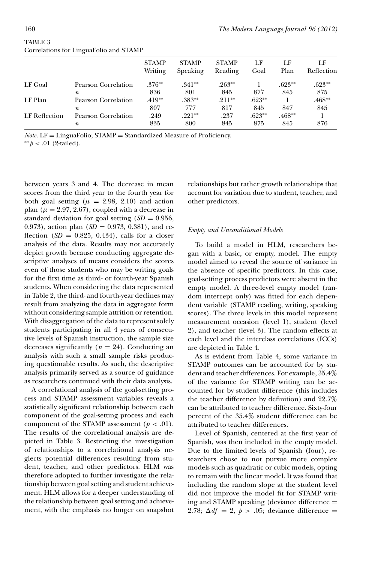|               | $\circ$                                 |                         |                          |                         |                 |                 |                  |
|---------------|-----------------------------------------|-------------------------|--------------------------|-------------------------|-----------------|-----------------|------------------|
|               |                                         | <b>STAMP</b><br>Writing | <b>STAMP</b><br>Speaking | <b>STAMP</b><br>Reading | LF<br>Goal      | LF<br>Plan      | LF<br>Reflection |
| LF Goal       | Pearson Correlation<br>$\boldsymbol{n}$ | $.376**$<br>836         | $.341**$<br>801          | $.263**$<br>845         | 877             | $.623**$<br>845 | $.623**$<br>875  |
| LF Plan       | Pearson Correlation<br>$\boldsymbol{n}$ | $.419**$<br>807         | $.383**$<br>777          | $.211**$<br>817         | $.623**$<br>845 | 847             | $.468**$<br>845  |
| LF Reflection | Pearson Correlation<br>$\boldsymbol{n}$ | .249<br>835             | $.221**$<br>800          | .237<br>845             | $.623**$<br>875 | $.468**$<br>845 | 876              |

TABLE 3 Correlations for LinguaFolio and STAMP

*Note.* LF = LinguaFolio; STAMP = Standardized Measure of Proficiency. \*\* *p* < .01 (2-tailed).

between years 3 and 4. The decrease in mean scores from the third year to the fourth year for both goal setting ( $\mu = 2.98, 2.10$ ) and action plan ( $\mu = 2.97, 2.67$ ), coupled with a decrease in standard deviation for goal setting  $(SD = 0.956,$ 0.973), action plan  $(SD = 0.973, 0.381)$ , and reflection  $(SD = 0.825, 0.434)$ , calls for a closer analysis of the data. Results may not accurately depict growth because conducting aggregate descriptive analyses of means considers the scores even of those students who may be writing goals for the first time as third- or fourth-year Spanish students. When considering the data represented in Table 2, the third- and fourth-year declines may result from analyzing the data in aggregate form without considering sample attrition or retention. With disaggregation of the data to represent solely students participating in all 4 years of consecutive levels of Spanish instruction, the sample size decreases significantly  $(n = 24)$ . Conducting an analysis with such a small sample risks producing questionable results. As such, the descriptive analysis primarily served as a source of guidance as researchers continued with their data analysis.

A correlational analysis of the goal-setting process and STAMP assessment variables reveals a statistically significant relationship between each component of the goal-setting process and each component of the STAMP assessment ( $p < .01$ ). The results of the correlational analysis are depicted in Table 3. Restricting the investigation of relationships to a correlational analysis neglects potential differences resulting from student, teacher, and other predictors. HLM was therefore adopted to further investigate the relationship between goal setting and student achievement. HLM allows for a deeper understanding of the relationship between goal setting and achievement, with the emphasis no longer on snapshot

relationships but rather growth relationships that account for variation due to student, teacher, and other predictors.

## *Empty and Unconditional Models*

To build a model in HLM, researchers began with a basic, or empty, model. The empty model aimed to reveal the source of variance in the absence of specific predictors. In this case, goal-setting process predictors were absent in the empty model. A three-level empty model (random intercept only) was fitted for each dependent variable (STAMP reading, writing, speaking scores). The three levels in this model represent measurement occasion (level 1), student (level 2), and teacher (level 3). The random effects at each level and the interclass correlations (ICCs) are depicted in Table 4.

As is evident from Table 4, some variance in STAMP outcomes can be accounted for by student and teacher differences. For example, 35.4% of the variance for STAMP writing can be accounted for by student difference (this includes the teacher difference by definition) and 22.7% can be attributed to teacher difference. Sixty-four percent of the 35.4% student difference can be attributed to teacher differences.

Level of Spanish, centered at the first year of Spanish, was then included in the empty model. Due to the limited levels of Spanish (four), researchers chose to not pursue more complex models such as quadratic or cubic models, opting to remain with the linear model. It was found that including the random slope at the student level did not improve the model fit for STAMP writing and STAMP speaking (deviance difference = 2.78;  $\Delta df = 2$ ,  $p > .05$ ; deviance difference =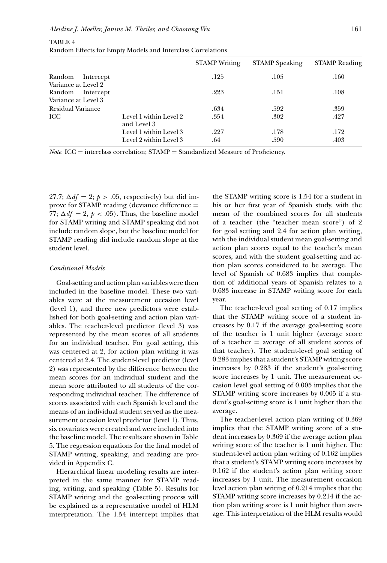|                                              | <b>STAMP</b> Writing | <b>STAMP</b> Speaking | <b>STAMP</b> Reading |
|----------------------------------------------|----------------------|-----------------------|----------------------|
| Random<br>Intercept                          | .125                 | .105                  | .160                 |
| Variance at Level 2                          |                      |                       |                      |
| Random<br>Intercept                          | .223                 | .151                  | .108                 |
| Variance at Level 3                          |                      |                       |                      |
| Residual Variance                            | .634                 | .592                  | .359                 |
| ICC<br>Level 1 within Level 2<br>and Level 3 | .354                 | .302                  | .427                 |
| Level 1 within Level 3                       | .227                 | .178                  | .172                 |
| Level 2 within Level 3                       | .64                  | .590                  | .403                 |

TABLE 4 Random Effects for Empty Models and Interclass Correlations

*Note.* ICC = interclass correlation; STAMP = Standardized Measure of Proficiency.

27.7;  $\Delta df = 2$ ;  $p > .05$ , respectively) but did improve for STAMP reading (deviance difference = 77;  $\Delta df = 2$ ,  $p < .05$ ). Thus, the baseline model for STAMP writing and STAMP speaking did not include random slope, but the baseline model for STAMP reading did include random slope at the student level.

## *Conditional Models*

Goal-setting and action plan variables were then included in the baseline model. These two variables were at the measurement occasion level (level 1), and three new predictors were established for both goal-setting and action plan variables. The teacher-level predictor (level 3) was represented by the mean scores of all students for an individual teacher. For goal setting, this was centered at 2, for action plan writing it was centered at 2.4. The student-level predictor (level 2) was represented by the difference between the mean scores for an individual student and the mean score attributed to all students of the corresponding individual teacher. The difference of scores associated with each Spanish level and the means of an individual student served as the measurement occasion level predictor (level 1). Thus, six covariates were created and were included into the baseline model. The results are shown in Table 5. The regression equations for the final model of STAMP writing, speaking, and reading are provided in Appendix C.

Hierarchical linear modeling results are interpreted in the same manner for STAMP reading, writing, and speaking (Table 5). Results for STAMP writing and the goal-setting process will be explained as a representative model of HLM interpretation. The 1.54 intercept implies that

the STAMP writing score is 1.54 for a student in his or her first year of Spanish study, with the mean of the combined scores for all students of a teacher (the "teacher mean score") of 2 for goal setting and 2.4 for action plan writing, with the individual student mean goal-setting and action plan scores equal to the teacher's mean scores, and with the student goal-setting and action plan scores considered to be average. The level of Spanish of 0.683 implies that completion of additional years of Spanish relates to a 0.683 increase in STAMP writing score for each year.

The teacher-level goal setting of 0.17 implies that the STAMP writing score of a student increases by 0.17 if the average goal-setting score of the teacher is 1 unit higher (average score of a teacher  $=$  average of all student scores of that teacher). The student-level goal setting of 0.283 implies that a student's STAMP writing score increases by 0.283 if the student's goal-setting score increases by 1 unit. The measurement occasion level goal setting of 0.005 implies that the STAMP writing score increases by 0.005 if a student's goal-setting score is 1 unit higher than the average.

The teacher-level action plan writing of 0.369 implies that the STAMP writing score of a student increases by 0.369 if the average action plan writing score of the teacher is 1 unit higher. The student-level action plan writing of 0.162 implies that a student's STAMP writing score increases by 0.162 if the student's action plan writing score increases by 1 unit. The measurement occasion level action plan writing of 0.214 implies that the STAMP writing score increases by 0.214 if the action plan writing score is 1 unit higher than average. This interpretation of the HLM results would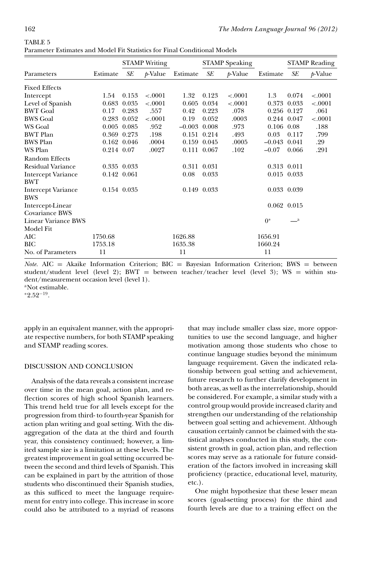TABLE 5

|                                    |             |               | <b>STAMP</b> Writing |                |             | <b>STAMP</b> Speaking |              |                            | <b>STAMP</b> Reading |
|------------------------------------|-------------|---------------|----------------------|----------------|-------------|-----------------------|--------------|----------------------------|----------------------|
| Parameters                         | Estimate    | SE            | $p$ -Value           | Estimate       | SE          | $p$ -Value            | Estimate     | SE                         | $p$ -Value           |
| <b>Fixed Effects</b>               |             |               |                      |                |             |                       |              |                            |                      |
| Intercept                          | 1.54        | 0.153         | $-.0001$             | 1.32           | 0.123       | $-.0001$              | 1.3          | 0.074                      | < .0001              |
| Level of Spanish                   | 0.683       | 0.035         | < .0001              | 0.605          | 0.034       | < .0001               | 0.373        | 0.033                      | $-.0001$             |
| <b>BWT</b> Goal                    | 0.17        | 0.283         | .557                 | 0.42           | 0.223       | .078                  |              | 0.256 0.127                | .061                 |
| <b>BWS Goal</b>                    |             | 0.283 0.052   | < .0001              | 0.19           | 0.052       | .0003                 |              | 0.244 0.047                | $-.0001$             |
| WS Goal                            |             | $0.005$ 0.085 | .952                 | $-0.003$ 0.008 |             | .973                  | $0.106$ 0.08 |                            | .188                 |
| <b>BWT</b> Plan                    |             | 0.369 0.273   | .198                 |                | 0.151 0.214 | .493                  | 0.03         | 0.117                      | .799                 |
| <b>BWS Plan</b>                    |             | 0.162 0.046   | .0004                |                | 0.159 0.045 | .0005                 | $-0.043$     | 0.041                      | .29                  |
| WS Plan                            | 0.214 0.07  |               | .0027                |                | 0.111 0.067 | .102                  | $-0.07$      | 0.066                      | .291                 |
| Random Effects                     |             |               |                      |                |             |                       |              |                            |                      |
| Residual Variance                  |             | 0.335 0.033   |                      |                | 0.311 0.031 |                       | 0.313 0.011  |                            |                      |
| Intercept Variance<br><b>BWT</b>   | 0.142 0.061 |               |                      | 0.08           | 0.033       |                       |              | 0.015 0.033                |                      |
| Intercept Variance<br><b>BWS</b>   |             | 0.154 0.035   |                      |                | 0.149 0.033 |                       |              | 0.033 0.039                |                      |
| Intercept-Linear<br>Covariance BWS |             |               |                      |                |             |                       |              | $0.062$ $0.015$            |                      |
| Linear Variance BWS                |             |               |                      |                |             |                       | $0^*$        | $\overline{\phantom{a}}^a$ |                      |
| Model Fit                          |             |               |                      |                |             |                       |              |                            |                      |
| AIC                                | 1750.68     |               |                      | 1626.88        |             |                       | 1656.91      |                            |                      |
| BIC                                | 1753.18     |               |                      | 1635.38        |             |                       | 1660.24      |                            |                      |
| No. of Parameters                  | 11          |               |                      | 11             |             |                       | 11           |                            |                      |

| Parameter Estimates and Model Fit Statistics for Final Conditional Models |
|---------------------------------------------------------------------------|
|---------------------------------------------------------------------------|

*Note.* AIC = Akaike Information Criterion; BIC = Bayesian Information Criterion; BWS = between student/student level (level 2); BWT = between teacher/teacher level (level 3); WS = within student/measurement occasion level (level 1). <sup>a</sup>Not estimable.

<sup>∗</sup>2.52−19.

apply in an equivalent manner, with the appropriate respective numbers, for both STAMP speaking and STAMP reading scores.

## DISCUSSION AND CONCLUSION

Analysis of the data reveals a consistent increase over time in the mean goal, action plan, and reflection scores of high school Spanish learners. This trend held true for all levels except for the progression from third- to fourth-year Spanish for action plan writing and goal setting. With the disaggregation of the data at the third and fourth year, this consistency continued; however, a limited sample size is a limitation at these levels. The greatest improvement in goal setting occurred between the second and third levels of Spanish. This can be explained in part by the attrition of those students who discontinued their Spanish studies, as this sufficed to meet the language requirement for entry into college. This increase in score could also be attributed to a myriad of reasons

that may include smaller class size, more opportunities to use the second language, and higher motivation among those students who chose to continue language studies beyond the minimum language requirement. Given the indicated relationship between goal setting and achievement, future research to further clarify development in both areas, as well as the interrelationship, should be considered. For example, a similar study with a control group would provide increased clarity and strengthen our understanding of the relationship between goal setting and achievement. Although causation certainly cannot be claimed with the statistical analyses conducted in this study, the consistent growth in goal, action plan, and reflection scores may serve as a rationale for future consideration of the factors involved in increasing skill proficiency (practice, educational level, maturity, etc.).

One might hypothesize that these lesser mean scores (goal-setting process) for the third and fourth levels are due to a training effect on the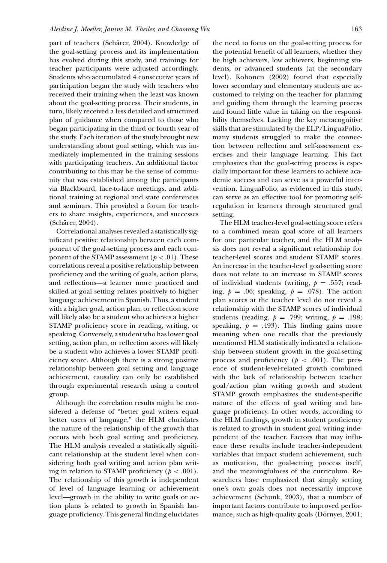part of teachers (Schärer, 2004). Knowledge of the goal-setting process and its implementation has evolved during this study, and trainings for teacher participants were adjusted accordingly. Students who accumulated 4 consecutive years of participation began the study with teachers who received their training when the least was known about the goal-setting process. Their students, in turn, likely received a less detailed and structured plan of guidance when compared to those who began participating in the third or fourth year of the study. Each iteration of the study brought new understanding about goal setting, which was immediately implemented in the training sessions with participating teachers. An additional factor contributing to this may be the sense of community that was established among the participants via Blackboard, face-to-face meetings, and additional training at regional and state conferences and seminars. This provided a forum for teachers to share insights, experiences, and successes (Schärer, 2004).

Correlational analyses revealed a statistically significant positive relationship between each component of the goal-setting process and each component of the STAMP assessment ( $p < .01$ ). These correlations reveal a positive relationship between proficiency and the writing of goals, action plans, and reflections—a learner more practiced and skilled at goal setting relates positively to higher language achievement in Spanish. Thus, a student with a higher goal, action plan, or reflection score will likely also be a student who achieves a higher STAMP proficiency score in reading, writing, or speaking. Conversely, a student who has lower goal setting, action plan, or reflection scores will likely be a student who achieves a lower STAMP proficiency score. Although there is a strong positive relationship between goal setting and language achievement, causality can only be established through experimental research using a control group.

Although the correlation results might be considered a defense of "better goal writers equal better users of language," the HLM elucidates the nature of the relationship of the growth that occurs with both goal setting and proficiency. The HLM analysis revealed a statistically significant relationship at the student level when considering both goal writing and action plan writing in relation to STAMP proficiency  $(p < .001)$ . The relationship of this growth is independent of level of language learning or achievement level—growth in the ability to write goals or action plans is related to growth in Spanish language proficiency. This general finding elucidates

the need to focus on the goal-setting process for the potential benefit of all learners, whether they be high achievers, low achievers, beginning students, or advanced students (at the secondary level). Kohonen (2002) found that especially lower secondary and elementary students are accustomed to relying on the teacher for planning and guiding them through the learning process and found little value in taking on the responsibility themselves. Lacking the key metacognitive skills that are stimulated by the ELP/LinguaFolio, many students struggled to make the connection between reflection and self-assessment exercises and their language learning. This fact emphasizes that the goal-setting process is especially important for these learners to achieve academic success and can serve as a powerful intervention. LinguaFolio, as evidenced in this study, can serve as an effective tool for promoting selfregulation in learners through structured goal setting.

The HLM teacher-level goal-setting score refers to a combined mean goal score of all learners for one particular teacher, and the HLM analysis does not reveal a significant relationship for teacher-level scores and student STAMP scores. An increase in the teacher-level goal-setting score does not relate to an increase in STAMP scores of individual students (writing,  $p = .557$ ; reading,  $p = .06$ ; speaking,  $p = .078$ ). The action plan scores at the teacher level do not reveal a relationship with the STAMP scores of individual students (reading,  $p = .799$ ; writing,  $p = .198$ ; speaking,  $p = .493$ ). This finding gains more meaning when one recalls that the previously mentioned HLM statistically indicated a relationship between student growth in the goal-setting process and proficiency ( $p < .001$ ). The presence of student-level-related growth combined with the lack of relationship between teacher goal/action plan writing growth and student STAMP growth emphasizes the student-specific nature of the effects of goal writing and language proficiency. In other words, according to the HLM findings, growth in student proficiency is related to growth in student goal writing independent of the teacher. Factors that may influence these results include teacher-independent variables that impact student achievement, such as motivation, the goal-setting process itself, and the meaningfulness of the curriculum. Researchers have emphasized that simply setting one's own goals does not necessarily improve achievement (Schunk, 2003), that a number of important factors contribute to improved performance, such as high-quality goals (Dörnyei, 2001;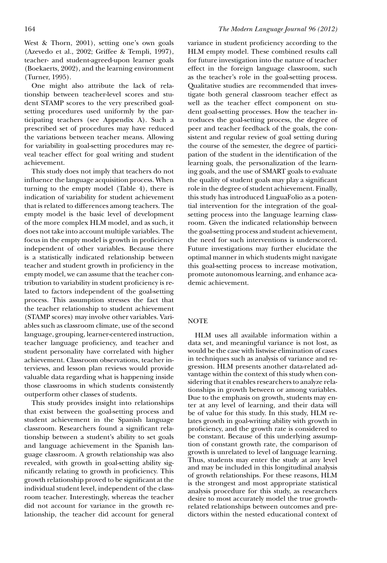West & Thorn, 2001), setting one's own goals (Azevedo et al., 2002; Griffee & Templi, 1997), teacher- and student-agreed-upon learner goals (Boekaerts, 2002), and the learning environment (Turner, 1995).

One might also attribute the lack of relationship between teacher-level scores and student STAMP scores to the very prescribed goalsetting procedures used uniformly by the participating teachers (see Appendix A). Such a prescribed set of procedures may have reduced the variations between teacher means. Allowing for variability in goal-setting procedures may reveal teacher effect for goal writing and student achievement.

This study does not imply that teachers do not influence the language acquisition process. When turning to the empty model (Table 4), there is indication of variability for student achievement that is related to differences among teachers. The empty model is the basic level of development of the more complex HLM model, and as such, it does not take into account multiple variables. The focus in the empty model is growth in proficiency independent of other variables. Because there is a statistically indicated relationship between teacher and student growth in proficiency in the empty model, we can assume that the teacher contribution to variability in student proficiency is related to factors independent of the goal-setting process. This assumption stresses the fact that the teacher relationship to student achievement (STAMP scores) may involve other variables. Variables such as classroom climate, use of the second language, grouping, learner-centered instruction, teacher language proficiency, and teacher and student personality have correlated with higher achievement. Classroom observations, teacher interviews, and lesson plan reviews would provide valuable data regarding what is happening inside those classrooms in which students consistently outperform other classes of students.

This study provides insight into relationships that exist between the goal-setting process and student achievement in the Spanish language classroom. Researchers found a significant relationship between a student's ability to set goals and language achievement in the Spanish language classroom. A growth relationship was also revealed, with growth in goal-setting ability significantly relating to growth in proficiency. This growth relationship proved to be significant at the individual student level, independent of the classroom teacher. Interestingly, whereas the teacher did not account for variance in the growth relationship, the teacher did account for general

variance in student proficiency according to the HLM empty model. These combined results call for future investigation into the nature of teacher effect in the foreign language classroom, such as the teacher's role in the goal-setting process. Qualitative studies are recommended that investigate both general classroom teacher effect as well as the teacher effect component on student goal-setting processes. How the teacher introduces the goal-setting process, the degree of peer and teacher feedback of the goals, the consistent and regular review of goal setting during the course of the semester, the degree of participation of the student in the identification of the learning goals, the personalization of the learning goals, and the use of SMART goals to evaluate the quality of student goals may play a significant role in the degree of student achievement. Finally, this study has introduced LinguaFolio as a potential intervention for the integration of the goalsetting process into the language learning classroom. Given the indicated relationship between the goal-setting process and student achievement, the need for such interventions is underscored. Future investigations may further elucidate the optimal manner in which students might navigate this goal-setting process to increase motivation, promote autonomous learning, and enhance academic achievement.

## **NOTE**

HLM uses all available information within a data set, and meaningful variance is not lost, as would be the case with listwise elimination of cases in techniques such as analysis of variance and regression. HLM presents another data-related advantage within the context of this study when considering that it enables researchers to analyze relationships in growth between or among variables. Due to the emphasis on growth, students may enter at any level of learning, and their data will be of value for this study. In this study, HLM relates growth in goal-writing ability with growth in proficiency, and the growth rate is considered to be constant. Because of this underlying assumption of constant growth rate, the comparison of growth is unrelated to level of language learning. Thus, students may enter the study at any level and may be included in this longitudinal analysis of growth relationships. For these reasons, HLM is the strongest and most appropriate statistical analysis procedure for this study, as researchers desire to most accurately model the true growthrelated relationships between outcomes and predictors within the nested educational context of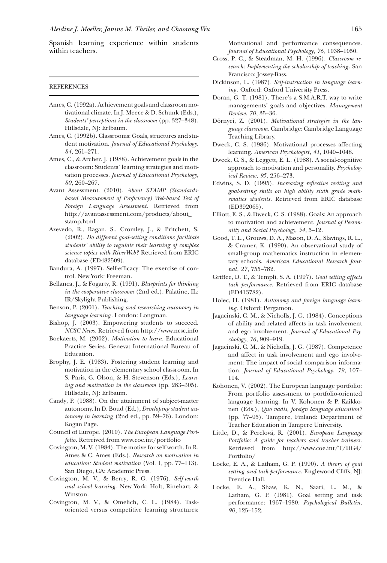Spanish learning experience within students within teachers.

#### **REFERENCES**

- Ames, C. (1992a). Achievement goals and classroom motivational climate. In J. Meece & D. Schunk (Eds.), *Students' perceptions in the classroom* (pp. 327–348). Hillsdale, NJ: Erlbaum.
- Ames, C. (1992b). Classrooms: Goals, structures and student motivation. *Journal of Educational Psychology*. *84*, 261–271.
- Ames, C., & Archer. J. (1988). Achievement goals in the classroom: Students' learning strategies and motivation processes. *Journal of Educational Psychology*, *80*, 260–267.
- Avant Assessment. (2010). *About STAMP (Standardsbased Measurement of Proficiency) Web-based Test of Foreign Language Assessment*. Retrieved from http://avantassessment.com/products/about\_ stamp.html
- Azevedo, R., Ragan, S., Cromley, J., & Pritchett, S. (2002). *Do different goal-setting conditions facilitate students' ability to regulate their learning of complex science topics with RiverWeb?* Retrieved from ERIC database (ED482509).
- Bandura, A. (1997). Self-efficacy: The exercise of control. New York: Freeman.
- Bellanca, J., & Fogarty, R. (1991). *Blueprints for thinking in the cooperative classroom* (2nd ed.). Palatine, IL: IR/Skylight Publishing.
- Benson, P. (2001). *Teaching and researching autonomy in language learning* . London: Longman.
- Bishop, J. (2003). Empowering students to succeed. *NCSC News*. Retrieved from http://www.ncsc.info
- Boekaerts, M. (2002). *Motivation to learn*. Educational Practice Series. Geneva: International Bureau of Education.
- Brophy, J. E. (1983). Fostering student learning and motivation in the elementary school classroom. In S. Paris, G. Olson, & H. Stevenson (Eds.), *Learning and motivation in the classroom* (pp. 283–305). Hillsdale, NJ: Erlbaum.
- Candy, P. (1988). On the attainment of subject-matter autonomy. In D. Boud (Ed.), *Developing student autonomy in learning* (2nd ed., pp. 59–76). London: Kogan Page.
- Council of Europe. (2010). *The European Language Portfolio*. Retreived from www.coe.int/portfolio
- Covington, M. V. (1984). The motive for self worth. In R. Ames & C. Ames (Eds.), *Research on motivation in education: Student motivation* (Vol. 1, pp. 77–113). San Diego, CA: Academic Press.
- Covington, M. V., & Berry, R. G. (1976). *Self-worth* and school learning. New York: Holt, Rinehart, & Winston.
- Covington, M. V., & Omelich, C. L. (1984). Taskoriented versus competitive learning structures:

Motivational and performance consequences. *Journal of Educational Psychology*, *76*, 1038–1050.

- Cross, P. C., & Steadman, M. H. (1996). *Classroom research: Implementing the scholarship of teaching* . San Francisco: Jossey-Bass.
- Dickinson, L. (1987). *Self-instruction in language learning* . Oxford: Oxford University Press.
- Doran, G. T. (1981). There's a S.M.A.R.T. way to write managements' goals and objectives. *Management Review*, *70*, 35–36.
- Dörnyei, Z. (2001). Motivational strategies in the lan*guage classroom*. Cambridge: Cambridge Language Teaching Library.
- Dweck, C. S. (1986). Motivational processes affecting learning. *American Psychologist*, *41*, 1040–1048.
- Dweck, C. S., & Leggett, E. L. (1988). A social-cognitive approach to motivation and personality. *Psychological Review*, *95*, 256–273.
- Edwins, S. D. (1995). *Increasing reflective writing and goal-setting skills on high ability sixth grade mathematics students*. Retrieved from ERIC database (ED392065).
- Elliott, E. S., & Dweck, C. S. (1988). Goals: An approach to motivation and achievement. *Journal of Personality and Social Psychology*, *54*, 5–12.
- Good, T. L., Grouws, D. A., Mason, D. A., Slavings, R. L., & Cramer, K. (1990). An observational study of small-group mathematics instruction in elementary schools. *American Educational Research Journal*, *27*, 755–782.
- Griffee, D. T., & Templi, S. A. (1997). *Goal setting affects task performance*. Retrieved from ERIC database (ED413782).
- Holec, H. (1981). *Autonomy and foreign language learn*ing. Oxford: Pergamon.
- Jagacinski, C. M., & Nicholls, J. G. (1984). Conceptions of ability and related affects in task involvement and ego involvement. *Journal of Educational Psychology*, *76*, 909–919.
- Jagacinski, C. M., & Nicholls, J. G. (1987). Competence and affect in task involvement and ego involvement: The impact of social comparison information. *Journal of Educational Psychology*, *79*, 107– 114.
- Kohonen, V. (2002). The European language portfolio: From portfolio assessment to portfolio-oriented language learning. In V. Kohonen & P. Kaikkonen (Eds.), *Quo vadis, foreign language education?* (pp. 77–95). Tampere, Finland: Department of Teacher Education in Tampere University.
- Little, D., & Perclová, R. (2001). *European Language Portfolio: A guide for teachers and teacher trainers*. Retrieved from http://www.coe.int/T/DG4/ Portfolio/
- Locke, E. A., & Latham, G. P. (1990). *A theory of goal setting and task performance*. Englewood Cliffs, NJ: Prentice Hall.
- Locke, E. A., Shaw, K. N., Saari, L. M., & Latham, G. P. (1981). Goal setting and task performance: 1967–1980. *Psychological Bulletin*, *90*, 125–152.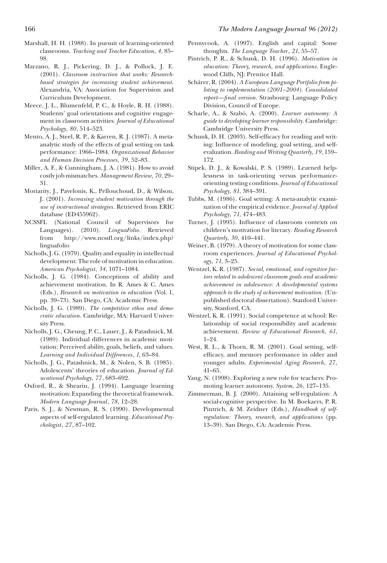- Marshall, H. H. (1988). In pursuit of learning-oriented classrooms. *Teaching and Teacher Education*, *4*, 85– 98.
- Marzano, R. J., Pickering, D. J., & Pollock, J. E. (2001). *Classroom instruction that works: Researchbased strategies for increasing student achievement*. Alexandria, VA: Association for Supervision and Curriculum Development.
- Meece, J. L., Blumenfeld, P. C., & Hoyle, R. H. (1988). Students' goal orientations and cognitive engagement in classroom activities. *Journal of Educational Psychology*, *80*, 514–523.
- Mento, A. J., Steel, R. P., & Karren, R. J. (1987). A metaanalytic study of the effects of goal setting on task performance: 1966–1984. *Organizational Behavior and Human Decision Processes*, *39*, 52–83.
- Miller, A. F., & Cunningham, J. A. (1981). How to avoid costly job mismatches. *Management Review*, *70*, 29– 31.
- Moriarity, J., Pavelonis, K., Pellouchoud, D., & Wilson, J. (2001). *Increasing student motivation through the use of instructional strategies*. Retrieved from ERIC database (ED455962).
- NCSSFL (National Council of Supervisors for Languages). (2010). *LinguaFolio*. Retrieved from http://www.ncssfl.org/links/index.php? linguafolio
- Nicholls, J. G. (1979). Quality and equality in intellectual development: The role of motivation in education. *American Psychologist*, *34*, 1071–1084.
- Nicholls, J. G. (1984). Conceptions of ability and achievement motivation. In R. Ames & C. Ames (Eds.), *Research on motivation in education* (Vol. 1, pp. 39–73). San Diego, CA: Academic Press.
- Nicholls, J. G. (1989). *The competitive ethos and democratic education*. Cambridge, MA: Harvard University Press.
- Nicholls, J. G., Cheung, P. C., Lauer, J., & Patashnick, M. (1989). Individual differences in academic motivation: Perceived ability, goals, beliefs, and values. *Learning and Individual Differences*, *1*, 63–84.
- Nicholls, J. G., Patashnick, M., & Nolen, S. B. (1985). Adolescents' theories of education. *Journal of Educational Psychology*, *77*, 683–692.
- Oxford, R., & Shearin, J. (1994). Language learning motivation: Expanding the theoretical framework. *Modern Language Journal*, *78*, 12–28.
- Paris, S. J., & Newman, R. S. (1990). Developmental aspects of self-regulated learning. *Educational Psychologist*, *27*, 87–102.
- Pennycook, A. (1997). English and capital: Some thoughts. *The Language Teacher*, *21*, 55–57.
- Pintrich, P. R., & Schunk, D. H. (1996). *Motivation in education: Theory, research, and applications*. Englewood Cliffs, NJ: Prentice Hall.
- Schärer, R. (2004). A European Language Portfolio from pi*loting to implementation (2001–2004). Consolidated report—final version*. Strasbourg: Language Policy Division, Council of Europe.
- Scharle, A., & Szabó, A. (2000). *Learner autonomy: A guide to developing learner responsibility*. Cambridge: Cambridge University Press.
- Schunk, D. H. (2003). Self-efficacy for reading and writing: Influence of modeling, goal setting, and selfevaluation. *Reading and Writing Quarterly*, *19*, 159– 172.
- Stipek, D. J., & Kowalski, P. S. (1989). Learned helplessness in task-orienting versus performanceorienting testing conditions. *Journal of Educational Psychology*, *81*, 384–391.
- Tubbs, M. (1986). Goal setting: A meta-analytic examination of the empirical evidence. *Journal of Applied Psychology*, *71*, 474–483.
- Turner, J. (1995). Influence of classroom contexts on children's motivation for literacy. *Reading Research Quarterly*, *30*, 410–441.
- Weiner, B. (1979). A theory of motivation for some classroom experiences. *Journal of Educational Psychology*, *71*, 3–25.
- Wentzel, K. R. (1987). *Social, emotional, and cognitive factors related to adolescent classroom goals and academic achievement in adolescence: A developmental systems approach to the study of achievement motivation*. (Unpublished doctoral dissertation). Stanford University, Stanford, CA.
- Wentzel, K. R. (1991). Social competence at school: Relationship of social responsibility and academic achievement. *Review of Educational Research*, *61*, 1–24.
- West, R. L., & Thorn, R. M. (2001). Goal setting, selfefficacy, and memory performance in older and younger adults. *Experimental Aging Research*, *27*, 41–65.
- Yang, N. (1998). Exploring a new role for teachers: Promoting learner autonomy. *System*, *26*, 127–135.
- Zimmerman, B. J. (2000). Attaining self-regulation: A social-cognitive perspective. In M. Boekaers, P. R. Pintrich, & M. Zeidner (Eds.), *Handbook of selfregulation: Theory, research, and applications* (pp. 13–39). San Diego, CA: Academic Press.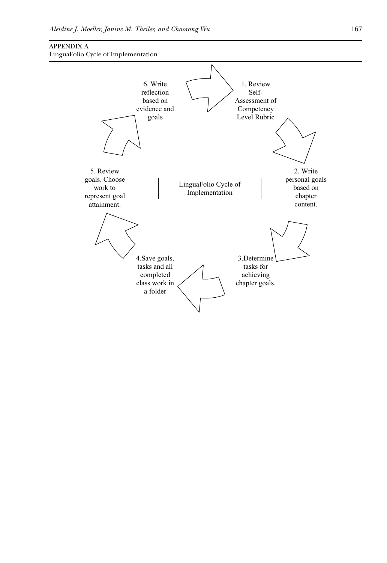# APPENDIX A

LinguaFolio Cycle of Implementation

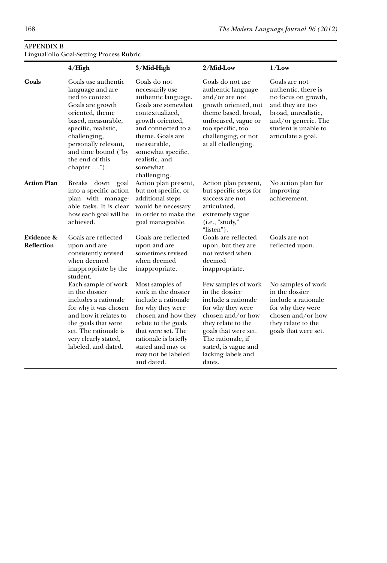# APPENDIX B LinguaFolio Goal-Setting Process Rubric

|                          | 4/High                                                                                                                                                                                                                                                    | 3/Mid-High                                                                                                                                                                                                                                       | 2/Mid-Low                                                                                                                                                                                                                         | 1/Low                                                                                                                                                                       |
|--------------------------|-----------------------------------------------------------------------------------------------------------------------------------------------------------------------------------------------------------------------------------------------------------|--------------------------------------------------------------------------------------------------------------------------------------------------------------------------------------------------------------------------------------------------|-----------------------------------------------------------------------------------------------------------------------------------------------------------------------------------------------------------------------------------|-----------------------------------------------------------------------------------------------------------------------------------------------------------------------------|
| Goals                    | Goals use authentic<br>language and are<br>tied to context.<br>Goals are growth<br>oriented, theme<br>based, measurable,<br>specific, realistic,<br>challenging,<br>personally relevant,<br>and time bound ("by<br>the end of this<br>chapter $\dots$ "). | Goals do not<br>necessarily use<br>authentic language.<br>Goals are somewhat<br>contextualized.<br>growth oriented,<br>and connected to a<br>theme. Goals are<br>measurable,<br>somewhat specific,<br>realistic, and<br>somewhat<br>challenging. | Goals do not use<br>authentic language<br>and/or are not<br>growth oriented, not<br>theme based, broad,<br>unfocused, vague or<br>too specific, too<br>challenging, or not<br>at all challenging.                                 | Goals are not<br>authentic, there is<br>no focus on growth,<br>and they are too<br>broad, unrealistic,<br>and/or generic. The<br>student is unable to<br>articulate a goal. |
| <b>Action Plan</b>       | Breaks down<br>goal<br>into a specific action<br>plan with manage-<br>able tasks. It is clear<br>how each goal will be<br>achieved.                                                                                                                       | Action plan present,<br>but not specific, or<br>additional steps<br>would be necessary<br>in order to make the<br>goal manageable.                                                                                                               | Action plan present,<br>but specific steps for<br>success are not<br>articulated,<br>extremely vague<br>(i.e., "study,"<br>"listen").                                                                                             | No action plan for<br>improving<br>achievement.                                                                                                                             |
| Evidence &<br>Reflection | Goals are reflected<br>upon and are<br>consistently revised<br>when deemed<br>inappropriate by the<br>student.                                                                                                                                            | Goals are reflected<br>upon and are<br>sometimes revised<br>when deemed<br>inappropriate.                                                                                                                                                        | Goals are reflected<br>upon, but they are<br>not revised when<br>deemed<br>inappropriate.                                                                                                                                         | Goals are not<br>reflected upon.                                                                                                                                            |
|                          | Each sample of work<br>in the dossier<br>includes a rationale<br>for why it was chosen<br>and how it relates to<br>the goals that were<br>set. The rationale is<br>very clearly stated,<br>labeled, and dated.                                            | Most samples of<br>work in the dossier<br>include a rationale<br>for why they were<br>chosen and how they<br>relate to the goals<br>that were set. The<br>rationale is briefly<br>stated and may or<br>may not be labeled<br>and dated.          | Few samples of work<br>in the dossier<br>include a rationale<br>for why they were<br>chosen and/or how<br>they relate to the<br>goals that were set.<br>The rationale, if<br>stated, is vague and<br>lacking labels and<br>dates. | No samples of work<br>in the dossier<br>include a rationale<br>for why they were<br>chosen and/or how<br>they relate to the<br>goals that were set.                         |